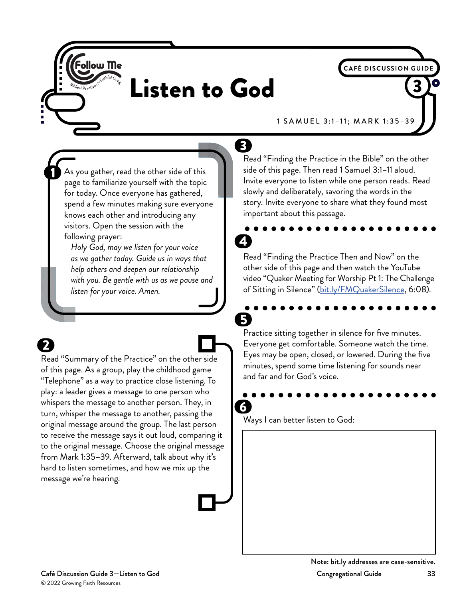

# Listen to God

1 SAMUEL 3:1–11; MARK 1:35–39

**CAFÉ DISCUSSION GUID** 

As you gather, read the other side of this page to familiarize yourself with the topic for today. Once everyone has gathered, spend a few minutes making sure everyone knows each other and introducing any visitors. Open the session with the following prayer:

*Holy God, may we listen for your voice as we gather today. Guide us in ways that help others and deepen our relationship with you. Be gentle with us as we pause and listen for your voice. Amen.*

Read "Summary of the Practice" on the other side of this page. As a group, play the childhood game "Telephone" as a way to practice close listening. To play: a leader gives a message to one person who whispers the message to another person. They, in turn, whisper the message to another, passing the original message around the group. The last person to receive the message says it out loud, comparing it to the original message. Choose the original message from Mark 1:35–39. Afterward, talk about why it's hard to listen sometimes, and how we mix up the message we're hearing.

Read "Finding the Practice in the Bible" on the other side of this page. Then read 1 Samuel 3:1–11 aloud. Invite everyone to listen while one person reads. Read slowly and deliberately, savoring the words in the story. Invite everyone to share what they found most important about this passage.

#### Read "Finding the Practice Then and Now" on the other side of this page and then watch the YouTube video "Quaker Meeting for Worship Pt 1: The Challenge of Sitting in Silence" (<u>bit.ly/FMQuakerSilence,</u> 6:08).

5. Practice sitting together in silence for five minutes. Everyone get comfortable. Someone watch the time. Eyes may be open, closed, or lowered. During the five minutes, spend some time listening for sounds near and far and for God's voice.

## 6

 $3^{\circ}$ 

Ways I can better listen to God: